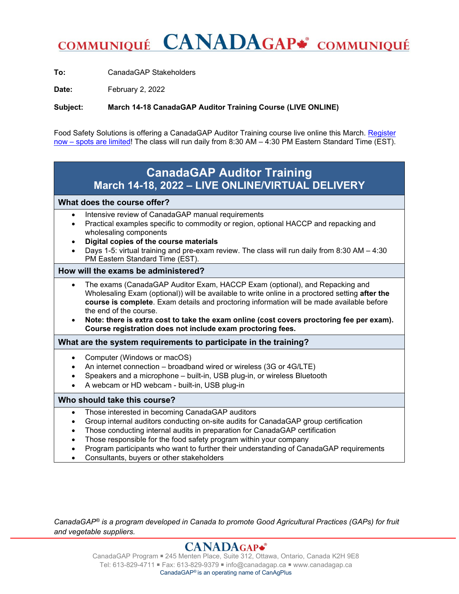# COMMUNIQUÉ CANADAGAP\* COMMUNIQUÉ

**To:** CanadaGAP Stakeholders

Date: February 2, 2022

**Subject: March 14-18 CanadaGAP Auditor Training Course (LIVE ONLINE)**

Food Safety Solutions is offering a CanadaGAP Auditor Training course live online this March. Register now – [spots are limited!](https://foodsafetysolutions.ca/product/canadagap-auditor-training-virtual-delivery-aug-16-20-2021/) The class will run daily from 8:30 AM – 4:30 PM Eastern Standard Time (EST).

# **CanadaGAP Auditor Training March 14-18, 2022 – LIVE ONLINE/VIRTUAL DELIVERY**

## **What does the course offer?**

- Intensive review of CanadaGAP manual requirements
- Practical examples specific to commodity or region, optional HACCP and repacking and wholesaling components
- **Digital copies of the course materials**
- Days 1-5: virtual training and pre-exam review. The class will run daily from 8:30 AM 4:30 PM Eastern Standard Time (EST).

# **How will the exams be administered?**

- The exams (CanadaGAP Auditor Exam, HACCP Exam (optional), and Repacking and Wholesaling Exam (optional)) will be available to write online in a proctored setting **after the course is complete**. Exam details and proctoring information will be made available before the end of the course.
- **Note: there is extra cost to take the exam online (cost covers proctoring fee per exam). Course registration does not include exam proctoring fees.**

**What are the system requirements to participate in the training?** 

- Computer (Windows or macOS)
- An internet connection broadband wired or wireless (3G or 4G/LTE)
- Speakers and a microphone built-in, USB plug-in, or wireless Bluetooth
- A webcam or HD webcam built-in, USB plug-in

# **Who should take this course?**

- Those interested in becoming CanadaGAP auditors
- Group internal auditors conducting on-site audits for CanadaGAP group certification
- Those conducting internal audits in preparation for CanadaGAP certification
- Those responsible for the food safety program within your company
- Program participants who want to further their understanding of CanadaGAP requirements
- Consultants, buyers or other stakeholders

*CanadaGAP® is a program developed in Canada to promote Good Agricultural Practices (GAPs) for fruit and vegetable suppliers.*